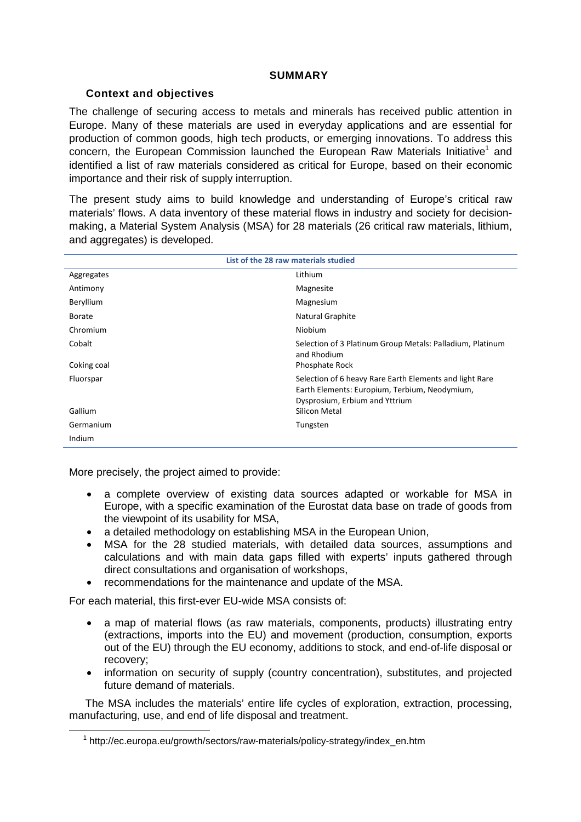### **SUMMARY**

# **Context and objectives**

The challenge of securing access to metals and minerals has received public attention in Europe. Many of these materials are used in everyday applications and are essential for production of common goods, high tech products, or emerging innovations. To address this concern, the European Commission launched the European Raw Materials Initiative<sup>1</sup> and identified a list of raw materials considered as critical for Europe, based on their economic importance and their risk of supply interruption.

The present study aims to build knowledge and understanding of Europe's critical raw materials' flows. A data inventory of these material flows in industry and society for decisionmaking, a Material System Analysis (MSA) for 28 materials (26 critical raw materials, lithium, and aggregates) is developed.

| List of the 28 raw materials studied |                                                                                                                                            |
|--------------------------------------|--------------------------------------------------------------------------------------------------------------------------------------------|
| Aggregates                           | Lithium                                                                                                                                    |
| Antimony                             | Magnesite                                                                                                                                  |
| Beryllium                            | Magnesium                                                                                                                                  |
| Borate                               | Natural Graphite                                                                                                                           |
| Chromium                             | <b>Niobium</b>                                                                                                                             |
| Cobalt                               | Selection of 3 Platinum Group Metals: Palladium, Platinum<br>and Rhodium                                                                   |
| Coking coal                          | Phosphate Rock                                                                                                                             |
| Fluorspar                            | Selection of 6 heavy Rare Earth Elements and light Rare<br>Earth Elements: Europium, Terbium, Neodymium,<br>Dysprosium, Erbium and Yttrium |
| Gallium                              | Silicon Metal                                                                                                                              |
| Germanium                            | Tungsten                                                                                                                                   |
| Indium                               |                                                                                                                                            |

More precisely, the project aimed to provide:

- a complete overview of existing data sources adapted or workable for MSA in Europe, with a specific examination of the Eurostat data base on trade of goods from the viewpoint of its usability for MSA,
- a detailed methodology on establishing MSA in the European Union,
- MSA for the 28 studied materials, with detailed data sources, assumptions and calculations and with main data gaps filled with experts' inputs gathered through direct consultations and organisation of workshops,
- recommendations for the maintenance and update of the MSA.

For each material, this first-ever EU-wide MSA consists of:

- a map of material flows (as raw materials, components, products) illustrating entry (extractions, imports into the EU) and movement (production, consumption, exports out of the EU) through the EU economy, additions to stock, and end-of-life disposal or recovery;
- information on security of supply (country concentration), substitutes, and projected future demand of materials.

The MSA includes the materials' entire life cycles of exploration, extraction, processing, manufacturing, use, and end of life disposal and treatment.

 $\overline{\phantom{0}}$  1  $1$  http://ec.europa.eu/growth/sectors/raw-materials/policy-strategy/index\_en.htm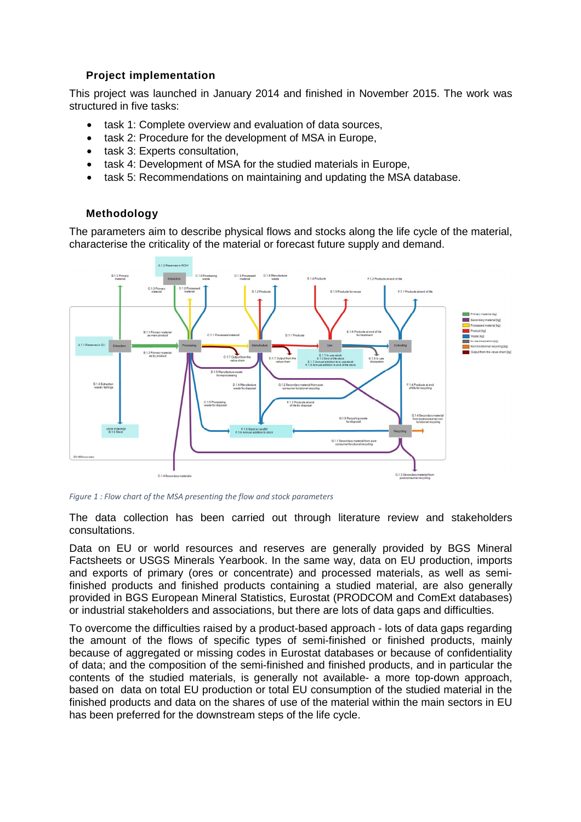# **Project implementation**

This project was launched in January 2014 and finished in November 2015. The work was structured in five tasks:

- task 1: Complete overview and evaluation of data sources,
- task 2: Procedure for the development of MSA in Europe,
- task 3: Experts consultation,
- task 4: Development of MSA for the studied materials in Europe.
- task 5: Recommendations on maintaining and updating the MSA database.

## **Methodology**

The parameters aim to describe physical flows and stocks along the life cycle of the material, characterise the criticality of the material or forecast future supply and demand.



*Figure 1 : Flow chart of the MSA presenting the flow and stock parameters* 

The data collection has been carried out through literature review and stakeholders consultations.

Data on EU or world resources and reserves are generally provided by BGS Mineral Factsheets or USGS Minerals Yearbook. In the same way, data on EU production, imports and exports of primary (ores or concentrate) and processed materials, as well as semifinished products and finished products containing a studied material, are also generally provided in BGS European Mineral Statistics, Eurostat (PRODCOM and ComExt databases) or industrial stakeholders and associations, but there are lots of data gaps and difficulties.

To overcome the difficulties raised by a product-based approach - lots of data gaps regarding the amount of the flows of specific types of semi-finished or finished products, mainly because of aggregated or missing codes in Eurostat databases or because of confidentiality of data; and the composition of the semi-finished and finished products, and in particular the contents of the studied materials, is generally not available- a more top-down approach, based on data on total EU production or total EU consumption of the studied material in the finished products and data on the shares of use of the material within the main sectors in EU has been preferred for the downstream steps of the life cycle.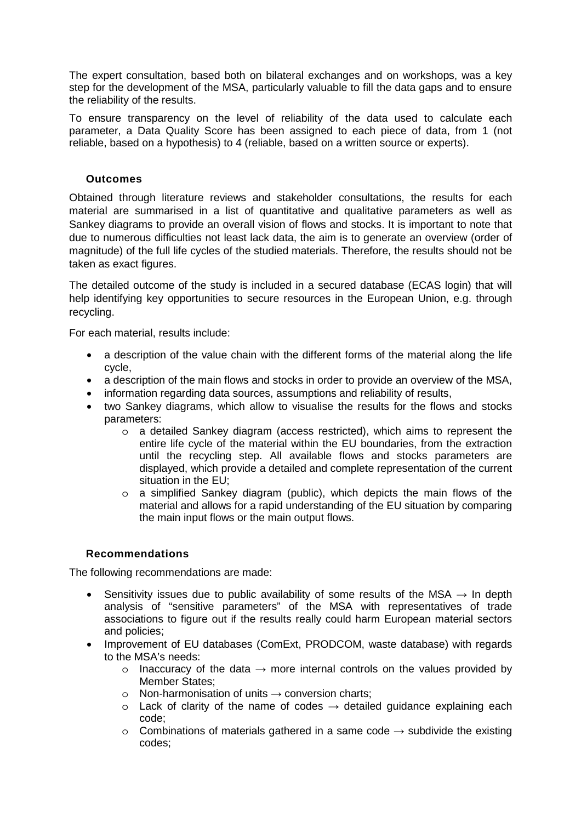The expert consultation, based both on bilateral exchanges and on workshops, was a key step for the development of the MSA, particularly valuable to fill the data gaps and to ensure the reliability of the results.

To ensure transparency on the level of reliability of the data used to calculate each parameter, a Data Quality Score has been assigned to each piece of data, from 1 (not reliable, based on a hypothesis) to 4 (reliable, based on a written source or experts).

### **Outcomes**

Obtained through literature reviews and stakeholder consultations, the results for each material are summarised in a list of quantitative and qualitative parameters as well as Sankey diagrams to provide an overall vision of flows and stocks. It is important to note that due to numerous difficulties not least lack data, the aim is to generate an overview (order of magnitude) of the full life cycles of the studied materials. Therefore, the results should not be taken as exact figures.

The detailed outcome of the study is included in a secured database (ECAS login) that will help identifying key opportunities to secure resources in the European Union, e.g. through recycling.

For each material, results include:

- a description of the value chain with the different forms of the material along the life cycle,
- a description of the main flows and stocks in order to provide an overview of the MSA,
- information regarding data sources, assumptions and reliability of results,
- two Sankey diagrams, which allow to visualise the results for the flows and stocks parameters:
	- o a detailed Sankey diagram (access restricted), which aims to represent the entire life cycle of the material within the EU boundaries, from the extraction until the recycling step. All available flows and stocks parameters are displayed, which provide a detailed and complete representation of the current situation in the EU;
	- o a simplified Sankey diagram (public), which depicts the main flows of the material and allows for a rapid understanding of the EU situation by comparing the main input flows or the main output flows.

#### **Recommendations**

The following recommendations are made:

- Sensitivity issues due to public availability of some results of the MSA  $\rightarrow$  In depth analysis of "sensitive parameters" of the MSA with representatives of trade associations to figure out if the results really could harm European material sectors and policies;
- Improvement of EU databases (ComExt, PRODCOM, waste database) with regards to the MSA's needs:
	- $\circ$  Inaccuracy of the data  $\rightarrow$  more internal controls on the values provided by Member States;
	- o Non-harmonisation of units  $\rightarrow$  conversion charts;
	- $\circ$  Lack of clarity of the name of codes  $\rightarrow$  detailed guidance explaining each code;
	- o Combinations of materials gathered in a same code  $\rightarrow$  subdivide the existing codes;